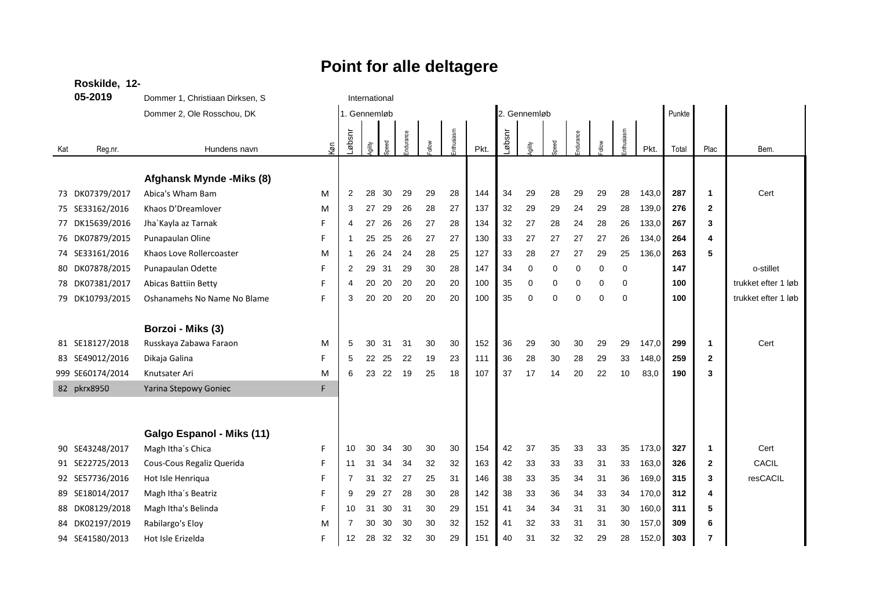## **Roskilde, 12- 05-2019** Dommer 1, Christiaan Dirksen, S<br>International Dommer 2, Ole Rosschou, DK 1. Gennemløb 2. Gennemløb Punkte Kat Reg.nr. **Hundens navn** Køn Løbsnr  $\sum_{i=1}^{n}$  $\overline{8}$ Endurance *Follow* Enthusiasm Pkt. Løbsnr  $\geq$ ន<br>ស durance Follow Enthusiasm Pkt. Total Plac Bem. **Afghansk Mynde -Miks (8)** 73 DK07379/2017 Abica's Wham Bam M 2 28 30 29 29 28 144 34 29 28 29 29 28 143,0 **287 1** Cert 75 SE33162/2016 Khaos D'Dreamlover M 3 27 29 26 28 27 137 32 29 29 24 29 28 139,0 **276 2** 77 DK15639/2016 Jha`Kayla az Tarnak F 4 27 26 26 27 28 134 32 27 28 24 28 26 133,0 **267 3** 76 DK07879/2015 Punapaulan Oline F 1 25 25 26 27 27 130 33 27 27 27 27 26 134,0 **264 4** 74 SE33161/2016 Khaos Love Rollercoaster M 1 26 24 24 28 25 127 33 28 27 27 29 25 136,0 **263 5** 80 DK07878/2015 Punapaulan Odette F 2 29 31 29 30 28 147 34 0 0 0 0 0 **147** o-stillet 78 DK07381/2017 Abicas Battiin Betty F 4 20 20 20 20 20 100 35 0 0 0 0 0 **100** trukket efter 1 løb 79 DK10793/2015 Oshanamehs No Name No Blame F 3 20 20 20 20 20 100 35 0 0 0 0 0 **100** trukket efter 1 løb **Borzoi - Miks (3)** 81 SE18127/2018 Russkaya Zabawa Faraon M 5 30 31 31 30 30 152 36 29 30 30 29 29 147,0 **299 1** Cert 83 SE49012/2016 Dikaja Galina F 5 22 25 22 19 23 111 36 28 30 28 29 33 148,0 **259 2** 999 SE60174/2014 Knutsater Ari M 6 23 22 19 25 18 107 37 17 14 20 22 10 83,0 **190 3** 82 pkrx8950 Yarina Stepowy Goniec F **Galgo Espanol - Miks (11)** 90 SE43248/2017 Magh Itha´s Chica F 10 30 34 30 30 30 154 42 37 35 33 33 35 173,0 **327 1** Cert 91 SE22725/2013 Cous-Cous Regaliz Querida F 11 31 34 34 32 32 163 42 33 33 33 31 33 163,0 **326 2** CACIL 92 SE57736/2016 Hot Isle Henriqua F 7 31 32 27 25 31 146 38 33 35 34 31 36 169,0 **315 3** resCACIL 89 SE18014/2017 Magh Itha´s Beatriz F 9 29 27 28 30 28 142 38 33 36 34 33 34 170,0 **312 4** 88 DK08129/2018 Magh Itha's Belinda F 10 31 30 31 30 29 151 41 34 34 31 31 30 160,0 **311 5** 84 DK02197/2019 Rabilargo's Eloy M 7 30 30 30 30 32 152 41 32 33 31 31 30 157,0 **309 6** 94 SE41580/2013 Hot Isle Erizelda F 12 28 32 32 30 29 151 40 31 32 32 29 28 152,0 **303 7**

## **Point for alle deltagere**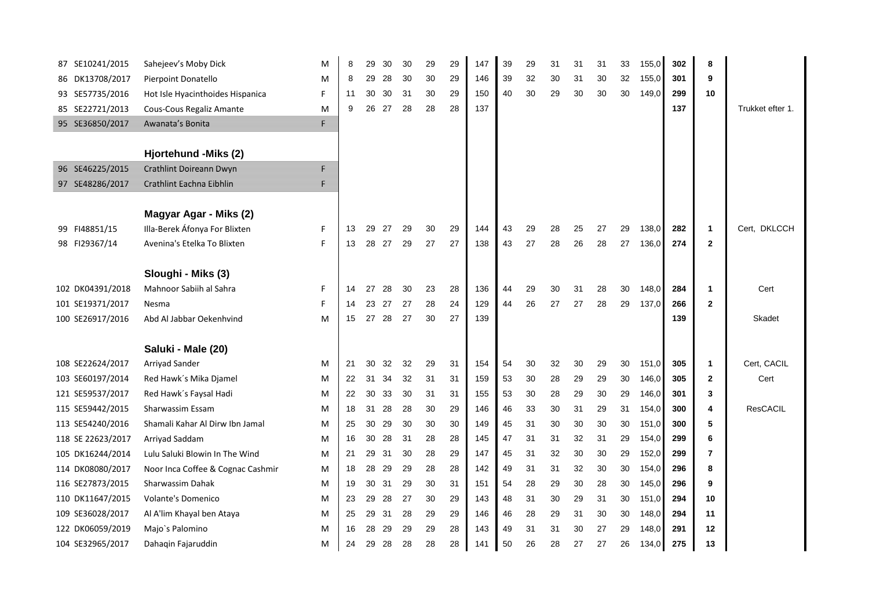| 87 SE10241/2015    | Sahejeev's Moby Dick              | M |    | 29    | 30 | 30 | 29 | 29 | 147 | 39 | 29 | 31 | 31 | 31 | 33 | 155,0 | 302 | 8                       |                  |
|--------------------|-----------------------------------|---|----|-------|----|----|----|----|-----|----|----|----|----|----|----|-------|-----|-------------------------|------------------|
| DK13708/2017<br>86 | Pierpoint Donatello               | M | 8  | 29    | 28 | 30 | 30 | 29 | 146 | 39 | 32 | 30 | 31 | 30 | 32 | 155,0 | 301 | 9                       |                  |
| 93 SE57735/2016    | Hot Isle Hyacinthoides Hispanica  | E | 11 | 30    | 30 | 31 | 30 | 29 | 150 | 40 | 30 | 29 | 30 | 30 | 30 | 149,0 | 299 | 10                      |                  |
| 85 SE22721/2013    | Cous-Cous Regaliz Amante          | M | 9  | 26    | 27 | 28 | 28 | 28 | 137 |    |    |    |    |    |    |       | 137 |                         | Trukket efter 1. |
| 95 SE36850/2017    | Awanata's Bonita                  | E |    |       |    |    |    |    |     |    |    |    |    |    |    |       |     |                         |                  |
|                    |                                   |   |    |       |    |    |    |    |     |    |    |    |    |    |    |       |     |                         |                  |
|                    | Hjortehund - Miks (2)             |   |    |       |    |    |    |    |     |    |    |    |    |    |    |       |     |                         |                  |
| 96 SE46225/2015    | Crathlint Doireann Dwyn           | F |    |       |    |    |    |    |     |    |    |    |    |    |    |       |     |                         |                  |
| 97 SE48286/2017    | Crathlint Eachna Eibhlin          | ₣ |    |       |    |    |    |    |     |    |    |    |    |    |    |       |     |                         |                  |
|                    |                                   |   |    |       |    |    |    |    |     |    |    |    |    |    |    |       |     |                         |                  |
|                    | Magyar Agar - Miks (2)            |   |    |       |    |    |    |    |     |    |    |    |    |    |    |       |     |                         |                  |
| FI48851/15<br>99   | Illa-Berek Áfonya For Blixten     | E | 13 | 29    | 27 | 29 | 30 | 29 | 144 | 43 | 29 | 28 | 25 | 27 | 29 | 138,0 | 282 | $\mathbf{1}$            | Cert, DKLCCH     |
| 98 FI29367/14      | Avenina's Etelka To Blixten       | E | 13 | 28 27 |    | 29 | 27 | 27 | 138 | 43 | 27 | 28 | 26 | 28 | 27 | 136,0 | 274 | $\overline{2}$          |                  |
|                    |                                   |   |    |       |    |    |    |    |     |    |    |    |    |    |    |       |     |                         |                  |
|                    | Sloughi - Miks (3)                |   |    |       |    |    |    |    |     |    |    |    |    |    |    |       |     |                         |                  |
| 102 DK04391/2018   | Mahnoor Sabiih al Sahra           | F | 14 | 27    | 28 | 30 | 23 | 28 | 136 | 44 | 29 | 30 | 31 | 28 | 30 | 148,0 | 284 | $\mathbf{1}$            | Cert             |
| 101 SE19371/2017   | Nesma                             | F | 14 | 23 27 |    | 27 | 28 | 24 | 129 | 44 | 26 | 27 | 27 | 28 | 29 | 137,0 | 266 | $\overline{2}$          |                  |
| 100 SE26917/2016   | Abd Al Jabbar Oekenhvind          | M | 15 | 27    | 28 | 27 | 30 | 27 | 139 |    |    |    |    |    |    |       | 139 |                         | Skadet           |
|                    |                                   |   |    |       |    |    |    |    |     |    |    |    |    |    |    |       |     |                         |                  |
|                    | Saluki - Male (20)                |   |    |       |    |    |    |    |     |    |    |    |    |    |    |       |     |                         |                  |
| 108 SE22624/2017   | Arriyad Sander                    | М | 21 | 30    | 32 | 32 | 29 | 31 | 154 | 54 | 30 | 32 | 30 | 29 | 30 | 151,0 | 305 | $\mathbf 1$             | Cert, CACIL      |
| 103 SE60197/2014   | Red Hawk's Mika Djamel            | M | 22 | 31    | 34 | 32 | 31 | 31 | 159 | 53 | 30 | 28 | 29 | 29 | 30 | 146,0 | 305 | $\overline{2}$          | Cert             |
| 121 SE59537/2017   | Red Hawk's Faysal Hadi            | M | 22 | 30    | 33 | 30 | 31 | 31 | 155 | 53 | 30 | 28 | 29 | 30 | 29 | 146,0 | 301 | 3                       |                  |
| 115 SE59442/2015   | Sharwassim Essam                  | M | 18 | 31    | 28 | 28 | 30 | 29 | 146 | 46 | 33 | 30 | 31 | 29 | 31 | 154,0 | 300 | $\overline{\mathbf{4}}$ | <b>ResCACIL</b>  |
| 113 SE54240/2016   | Shamali Kahar Al Dirw Ibn Jamal   | M | 25 | 30    | 29 | 30 | 30 | 30 | 149 | 45 | 31 | 30 | 30 | 30 | 30 | 151,0 | 300 | 5                       |                  |
| 118 SE 22623/2017  | Arriyad Saddam                    | M | 16 | 30    | 28 | 31 | 28 | 28 | 145 | 47 | 31 | 31 | 32 | 31 | 29 | 154,0 | 299 | 6                       |                  |
| 105 DK16244/2014   | Lulu Saluki Blowin In The Wind    | M | 21 | 29    | 31 | 30 | 28 | 29 | 147 | 45 | 31 | 32 | 30 | 30 | 29 | 152,0 | 299 | 7                       |                  |
| 114 DK08080/2017   | Noor Inca Coffee & Cognac Cashmir | M | 18 | 28    | 29 | 29 | 28 | 28 | 142 | 49 | 31 | 31 | 32 | 30 | 30 | 154,0 | 296 | 8                       |                  |
| 116 SE27873/2015   | Sharwassim Dahak                  | M | 19 | 30    | 31 | 29 | 30 | 31 | 151 | 54 | 28 | 29 | 30 | 28 | 30 | 145,0 | 296 | 9                       |                  |
| 110 DK11647/2015   | <b>Volante's Domenico</b>         | M | 23 | 29    | 28 | 27 | 30 | 29 | 143 | 48 | 31 | 30 | 29 | 31 | 30 | 151,0 | 294 | 10                      |                  |
| 109 SE36028/2017   | Al A'lim Khayal ben Ataya         | M | 25 | 29    | 31 | 28 | 29 | 29 | 146 | 46 | 28 | 29 | 31 | 30 | 30 | 148,0 | 294 | 11                      |                  |
| 122 DK06059/2019   | Majo's Palomino                   | M | 16 | 28    | 29 | 29 | 29 | 28 | 143 | 49 | 31 | 31 | 30 | 27 | 29 | 148,0 | 291 | 12                      |                  |
| 104 SE32965/2017   | Dahaqin Fajaruddin                | M | 24 | 29    | 28 | 28 | 28 | 28 | 141 | 50 | 26 | 28 | 27 | 27 | 26 | 134,0 | 275 | 13                      |                  |